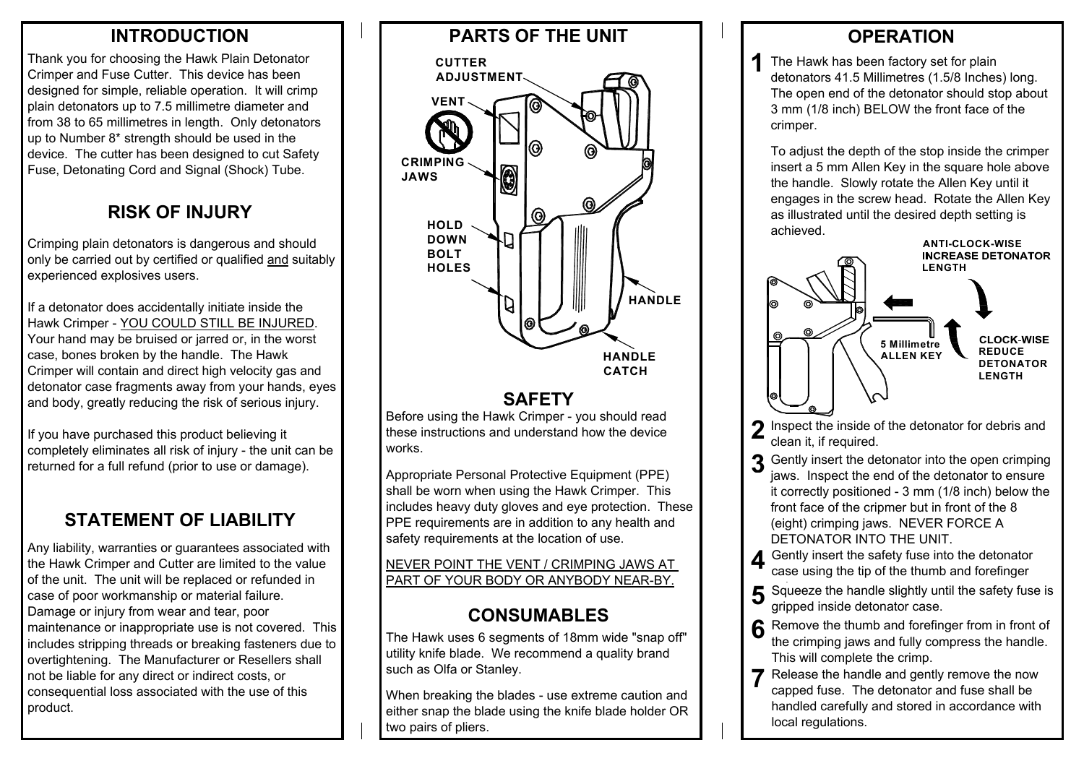#### **INTRODUCTION**

Thank you for choosing the Hawk Plain Detonator Crimper and Fuse Cutter. This device has been designed for simple, reliable operation. It will crimp plain detonators up to 7.5 millimetre diameter and from 38 to 65 millimetres in length. Only detonators up to Number 8\* strength should be used in the device. The cutter has been designed to cut Safety Fuse, Detonating Cord and Signal (Shock) Tube.

#### **RISK OF INJURY**

Crimping plain detonators is dangerous and should only be carried out by certified or qualified and suitably experienced explosives users.

If a detonator does accidentally initiate inside the Hawk Crimper - YOU COULD STILL BE INJURED. Your hand may be bruised or jarred or, in the worst case, bones broken by the handle. The Hawk Crimper will contain and direct high velocity gas and detonator case fragments away from your hands, eyes and body, greatly reducing the risk of serious injury.

If you have purchased this product believing it completely eliminates all risk of injury - the unit can be returned for a full refund (prior to use or damage).

# **STATEMENT OF LIABILITY**

Any liability, warranties or guarantees associated with the Hawk Crimper and Cutter are limited to the value of the unit. The unit will be replaced or refunded in case of poor workmanship or material failure. Damage or injury from wear and tear, poor maintenance or inappropriate use is not covered. This includes stripping threads or breaking fasteners due to overtightening. The Manufacturer or Resellers shall not be liable for any direct or indirect costs, or consequential loss associated with the use of this product.



## **SAFETY**

Before using the Hawk Crimper - you should read these instructions and understand how the device works.

Appropriate Personal Protective Equipment (PPE) shall be worn when using the Hawk Crimper. This includes heavy duty gloves and eye protection. These PPE requirements are in addition to any health and safety requirements at the location of use.

NEVER POINT THE VENT / CRIMPING JAWS AT PART OF YOUR BODY OR ANYBODY NEAR-BY.

## **CONSUMABLES**

The Hawk uses 6 segments of 18mm wide "snap off" utility knife blade. We recommend a quality brand such as Olfa or Stanley.

When breaking the blades - use extreme caution and either snap the blade using the knife blade holder OR two pairs of pliers.

## **OPERATION**

**1**The Hawk has been factory set for plain detonators 41.5 Millimetres (1.5/8 Inches) long. The open end of the detonator should stop about 3 mm (1/8 inch) BELOW the front face of the crimper.

To adjust the depth of the stop inside the crimper insert a 5 mm Allen Key in the square hole above the handle. Slowly rotate the Allen Key until it engages in the screw head. Rotate the Allen Key as illustrated until the desired depth setting is achieved.